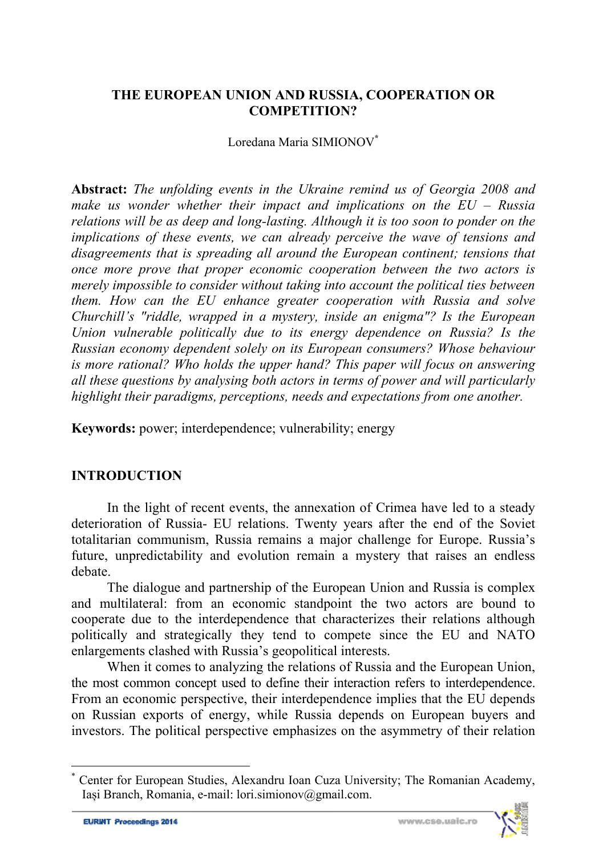#### **THE EUROPEAN UNION AND RUSSIA, COOPERATION OR COMPETITION?**

#### Loredana Maria SIMIONOV**\***

**Abstract:** *The unfolding events in the Ukraine remind us of Georgia 2008 and make us wonder whether their impact and implications on the EU – Russia relations will be as deep and long-lasting. Although it is too soon to ponder on the implications of these events, we can already perceive the wave of tensions and disagreements that is spreading all around the European continent; tensions that once more prove that proper economic cooperation between the two actors is merely impossible to consider without taking into account the political ties between them. How can the EU enhance greater cooperation with Russia and solve Churchill's "riddle, wrapped in a mystery, inside an enigma"? Is the European Union vulnerable politically due to its energy dependence on Russia? Is the Russian economy dependent solely on its European consumers? Whose behaviour is more rational? Who holds the upper hand? This paper will focus on answering all these questions by analysing both actors in terms of power and will particularly highlight their paradigms, perceptions, needs and expectations from one another.* 

**Keywords:** power; interdependence; vulnerability; energy

### **INTRODUCTION**

In the light of recent events, the annexation of Crimea have led to a steady deterioration of Russia- EU relations. Twenty years after the end of the Soviet totalitarian communism, Russia remains a major challenge for Europe. Russia's future, unpredictability and evolution remain a mystery that raises an endless debate.

The dialogue and partnership of the European Union and Russia is complex and multilateral: from an economic standpoint the two actors are bound to cooperate due to the interdependence that characterizes their relations although politically and strategically they tend to compete since the EU and NATO enlargements clashed with Russia's geopolitical interests.

When it comes to analyzing the relations of Russia and the European Union, the most common concept used to define their interaction refers to interdependence. From an economic perspective, their interdependence implies that the EU depends on Russian exports of energy, while Russia depends on European buyers and investors. The political perspective emphasizes on the asymmetry of their relation

 $\overline{\phantom{a}}$ 



<sup>\*</sup> Center for European Studies, Alexandru Ioan Cuza University; The Romanian Academy, Iași Branch, Romania, e-mail: lori.simionov@gmail.com.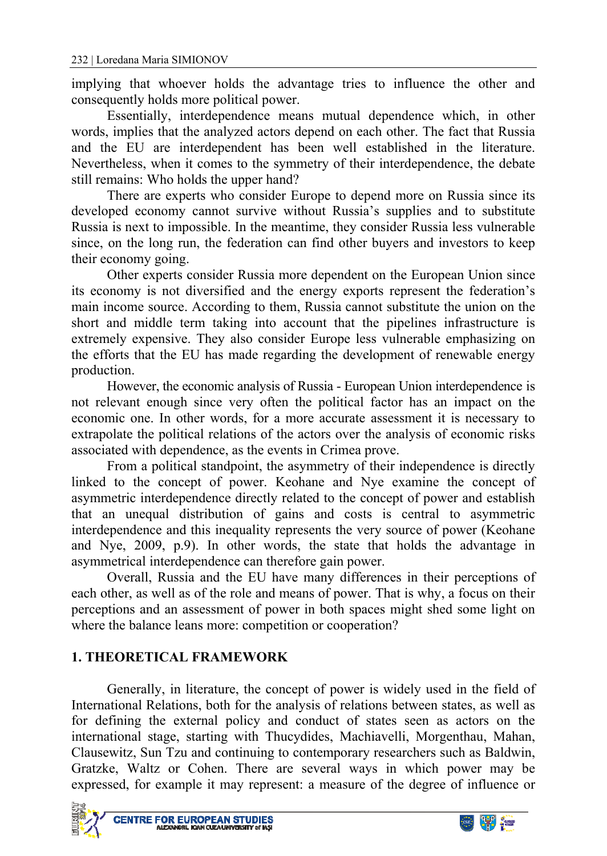implying that whoever holds the advantage tries to influence the other and consequently holds more political power.

Essentially, interdependence means mutual dependence which, in other words, implies that the analyzed actors depend on each other. The fact that Russia and the EU are interdependent has been well established in the literature. Nevertheless, when it comes to the symmetry of their interdependence, the debate still remains: Who holds the upper hand?

There are experts who consider Europe to depend more on Russia since its developed economy cannot survive without Russia's supplies and to substitute Russia is next to impossible. In the meantime, they consider Russia less vulnerable since, on the long run, the federation can find other buyers and investors to keep their economy going.

Other experts consider Russia more dependent on the European Union since its economy is not diversified and the energy exports represent the federation's main income source. According to them, Russia cannot substitute the union on the short and middle term taking into account that the pipelines infrastructure is extremely expensive. They also consider Europe less vulnerable emphasizing on the efforts that the EU has made regarding the development of renewable energy production.

However, the economic analysis of Russia - European Union interdependence is not relevant enough since very often the political factor has an impact on the economic one. In other words, for a more accurate assessment it is necessary to extrapolate the political relations of the actors over the analysis of economic risks associated with dependence, as the events in Crimea prove.

From a political standpoint, the asymmetry of their independence is directly linked to the concept of power. Keohane and Nye examine the concept of asymmetric interdependence directly related to the concept of power and establish that an unequal distribution of gains and costs is central to asymmetric interdependence and this inequality represents the very source of power (Keohane and Nye, 2009, p.9). In other words, the state that holds the advantage in asymmetrical interdependence can therefore gain power.

Overall, Russia and the EU have many differences in their perceptions of each other, as well as of the role and means of power. That is why, a focus on their perceptions and an assessment of power in both spaces might shed some light on where the balance leans more: competition or cooperation?

# **1. THEORETICAL FRAMEWORK**

Generally, in literature, the concept of power is widely used in the field of International Relations, both for the analysis of relations between states, as well as for defining the external policy and conduct of states seen as actors on the international stage, starting with Thucydides, Machiavelli, Morgenthau, Mahan, Clausewitz, Sun Tzu and continuing to contemporary researchers such as Baldwin, Gratzke, Waltz or Cohen. There are several ways in which power may be expressed, for example it may represent: a measure of the degree of influence or



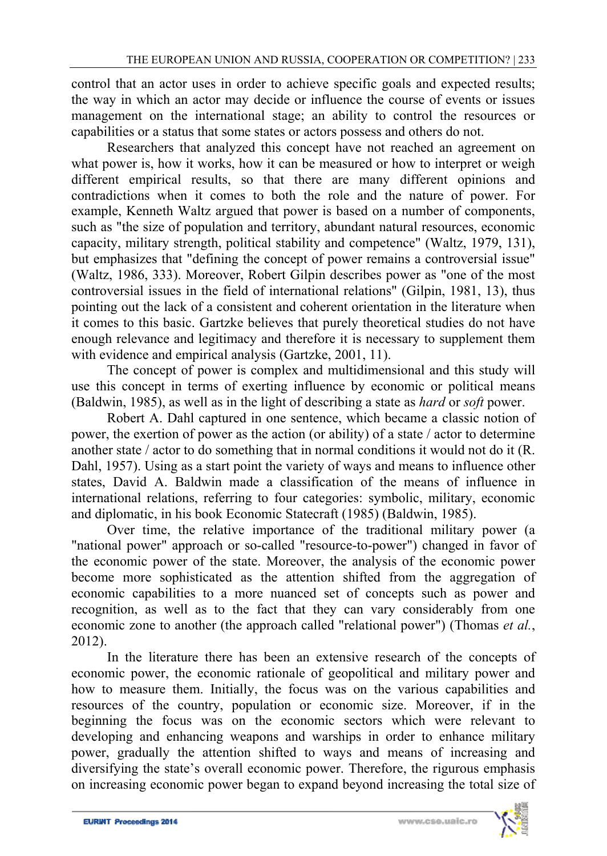control that an actor uses in order to achieve specific goals and expected results; the way in which an actor may decide or influence the course of events or issues management on the international stage; an ability to control the resources or capabilities or a status that some states or actors possess and others do not.

Researchers that analyzed this concept have not reached an agreement on what power is, how it works, how it can be measured or how to interpret or weigh different empirical results, so that there are many different opinions and contradictions when it comes to both the role and the nature of power. For example, Kenneth Waltz argued that power is based on a number of components, such as "the size of population and territory, abundant natural resources, economic capacity, military strength, political stability and competence" (Waltz, 1979, 131), but emphasizes that "defining the concept of power remains a controversial issue" (Waltz, 1986, 333). Moreover, Robert Gilpin describes power as "one of the most controversial issues in the field of international relations" (Gilpin, 1981, 13), thus pointing out the lack of a consistent and coherent orientation in the literature when it comes to this basic. Gartzke believes that purely theoretical studies do not have enough relevance and legitimacy and therefore it is necessary to supplement them with evidence and empirical analysis (Gartzke, 2001, 11).

The concept of power is complex and multidimensional and this study will use this concept in terms of exerting influence by economic or political means (Baldwin, 1985), as well as in the light of describing a state as *hard* or *soft* power.

Robert A. Dahl captured in one sentence, which became a classic notion of power, the exertion of power as the action (or ability) of a state / actor to determine another state / actor to do something that in normal conditions it would not do it (R. Dahl, 1957). Using as a start point the variety of ways and means to influence other states, David A. Baldwin made a classification of the means of influence in international relations, referring to four categories: symbolic, military, economic and diplomatic, in his book Economic Statecraft (1985) (Baldwin, 1985).

Over time, the relative importance of the traditional military power (a "national power" approach or so-called "resource-to-power") changed in favor of the economic power of the state. Moreover, the analysis of the economic power become more sophisticated as the attention shifted from the aggregation of economic capabilities to a more nuanced set of concepts such as power and recognition, as well as to the fact that they can vary considerably from one economic zone to another (the approach called "relational power") (Thomas *et al.*, 2012).

In the literature there has been an extensive research of the concepts of economic power, the economic rationale of geopolitical and military power and how to measure them. Initially, the focus was on the various capabilities and resources of the country, population or economic size. Moreover, if in the beginning the focus was on the economic sectors which were relevant to developing and enhancing weapons and warships in order to enhance military power, gradually the attention shifted to ways and means of increasing and diversifying the state's overall economic power. Therefore, the rigurous emphasis on increasing economic power began to expand beyond increasing the total size of

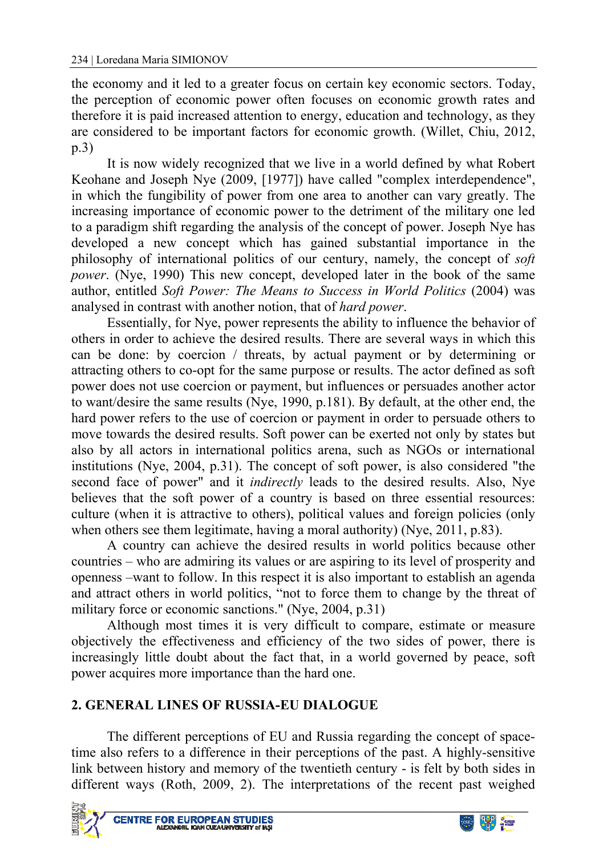the economy and it led to a greater focus on certain key economic sectors. Today, the perception of economic power often focuses on economic growth rates and therefore it is paid increased attention to energy, education and technology, as they are considered to be important factors for economic growth. (Willet, Chiu, 2012, p.3)

It is now widely recognized that we live in a world defined by what Robert Keohane and Joseph Nye (2009, [1977]) have called "complex interdependence", in which the fungibility of power from one area to another can vary greatly. The increasing importance of economic power to the detriment of the military one led to a paradigm shift regarding the analysis of the concept of power. Joseph Nye has developed a new concept which has gained substantial importance in the philosophy of international politics of our century, namely, the concept of *soft power*. (Nye, 1990) This new concept, developed later in the book of the same author, entitled *Soft Power: The Means to Success in World Politics* (2004) was analysed in contrast with another notion, that of *hard power*.

Essentially, for Nye, power represents the ability to influence the behavior of others in order to achieve the desired results. There are several ways in which this can be done: by coercion / threats, by actual payment or by determining or attracting others to co-opt for the same purpose or results. The actor defined as soft power does not use coercion or payment, but influences or persuades another actor to want/desire the same results (Nye, 1990, p.181). By default, at the other end, the hard power refers to the use of coercion or payment in order to persuade others to move towards the desired results. Soft power can be exerted not only by states but also by all actors in international politics arena, such as NGOs or international institutions (Nye, 2004, p.31). The concept of soft power, is also considered "the second face of power" and it *indirectly* leads to the desired results. Also, Nye believes that the soft power of a country is based on three essential resources: culture (when it is attractive to others), political values and foreign policies (only when others see them legitimate, having a moral authority) (Nye, 2011, p.83).

A country can achieve the desired results in world politics because other countries – who are admiring its values or are aspiring to its level of prosperity and openness –want to follow. In this respect it is also important to establish an agenda and attract others in world politics, "not to force them to change by the threat of military force or economic sanctions." (Nye, 2004, p.31)

Although most times it is very difficult to compare, estimate or measure objectively the effectiveness and efficiency of the two sides of power, there is increasingly little doubt about the fact that, in a world governed by peace, soft power acquires more importance than the hard one.

# **2. GENERAL LINES OF RUSSIA-EU DIALOGUE**

The different perceptions of EU and Russia regarding the concept of spacetime also refers to a difference in their perceptions of the past. A highly-sensitive link between history and memory of the twentieth century - is felt by both sides in different ways (Roth, 2009, 2). The interpretations of the recent past weighed



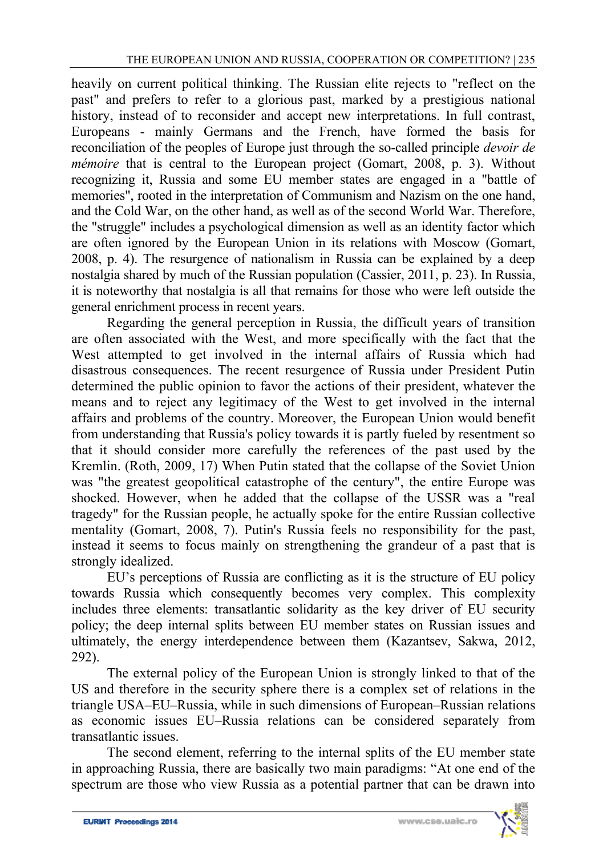heavily on current political thinking. The Russian elite rejects to "reflect on the past" and prefers to refer to a glorious past, marked by a prestigious national history, instead of to reconsider and accept new interpretations. In full contrast, Europeans - mainly Germans and the French, have formed the basis for reconciliation of the peoples of Europe just through the so-called principle *devoir de mémoire* that is central to the European project (Gomart, 2008, p. 3). Without recognizing it, Russia and some EU member states are engaged in a "battle of memories", rooted in the interpretation of Communism and Nazism on the one hand, and the Cold War, on the other hand, as well as of the second World War. Therefore, the "struggle" includes a psychological dimension as well as an identity factor which are often ignored by the European Union in its relations with Moscow (Gomart, 2008, p. 4). The resurgence of nationalism in Russia can be explained by a deep nostalgia shared by much of the Russian population (Cassier, 2011, p. 23). In Russia, it is noteworthy that nostalgia is all that remains for those who were left outside the general enrichment process in recent years.

Regarding the general perception in Russia, the difficult years of transition are often associated with the West, and more specifically with the fact that the West attempted to get involved in the internal affairs of Russia which had disastrous consequences. The recent resurgence of Russia under President Putin determined the public opinion to favor the actions of their president, whatever the means and to reject any legitimacy of the West to get involved in the internal affairs and problems of the country. Moreover, the European Union would benefit from understanding that Russia's policy towards it is partly fueled by resentment so that it should consider more carefully the references of the past used by the Kremlin. (Roth, 2009, 17) When Putin stated that the collapse of the Soviet Union was "the greatest geopolitical catastrophe of the century", the entire Europe was shocked. However, when he added that the collapse of the USSR was a "real tragedy" for the Russian people, he actually spoke for the entire Russian collective mentality (Gomart, 2008, 7). Putin's Russia feels no responsibility for the past, instead it seems to focus mainly on strengthening the grandeur of a past that is strongly idealized.

EU's perceptions of Russia are conflicting as it is the structure of EU policy towards Russia which consequently becomes very complex. This complexity includes three elements: transatlantic solidarity as the key driver of EU security policy; the deep internal splits between EU member states on Russian issues and ultimately, the energy interdependence between them (Kazantsev, Sakwa, 2012, 292).

The external policy of the European Union is strongly linked to that of the US and therefore in the security sphere there is a complex set of relations in the triangle USA–EU–Russia, while in such dimensions of European–Russian relations as economic issues EU–Russia relations can be considered separately from transatlantic issues.

The second element, referring to the internal splits of the EU member state in approaching Russia, there are basically two main paradigms: "At one end of the spectrum are those who view Russia as a potential partner that can be drawn into

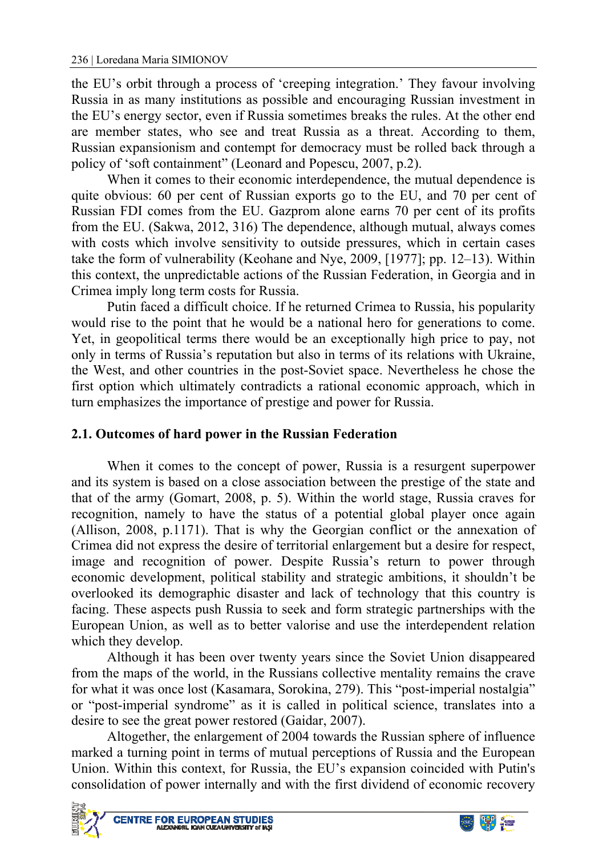the EU's orbit through a process of 'creeping integration.' They favour involving Russia in as many institutions as possible and encouraging Russian investment in the EU's energy sector, even if Russia sometimes breaks the rules. At the other end are member states, who see and treat Russia as a threat. According to them, Russian expansionism and contempt for democracy must be rolled back through a policy of 'soft containment" (Leonard and Popescu, 2007, p.2).

When it comes to their economic interdependence, the mutual dependence is quite obvious: 60 per cent of Russian exports go to the EU, and 70 per cent of Russian FDI comes from the EU. Gazprom alone earns 70 per cent of its profits from the EU. (Sakwa, 2012, 316) The dependence, although mutual, always comes with costs which involve sensitivity to outside pressures, which in certain cases take the form of vulnerability (Keohane and Nye, 2009, [1977]; pp. 12–13). Within this context, the unpredictable actions of the Russian Federation, in Georgia and in Crimea imply long term costs for Russia.

Putin faced a difficult choice. If he returned Crimea to Russia, his popularity would rise to the point that he would be a national hero for generations to come. Yet, in geopolitical terms there would be an exceptionally high price to pay, not only in terms of Russia's reputation but also in terms of its relations with Ukraine, the West, and other countries in the post-Soviet space. Nevertheless he chose the first option which ultimately contradicts a rational economic approach, which in turn emphasizes the importance of prestige and power for Russia.

### **2.1. Outcomes of hard power in the Russian Federation**

When it comes to the concept of power, Russia is a resurgent superpower and its system is based on a close association between the prestige of the state and that of the army (Gomart, 2008, p. 5). Within the world stage, Russia craves for recognition, namely to have the status of a potential global player once again (Allison, 2008, p.1171). That is why the Georgian conflict or the annexation of Crimea did not express the desire of territorial enlargement but a desire for respect, image and recognition of power. Despite Russia's return to power through economic development, political stability and strategic ambitions, it shouldn't be overlooked its demographic disaster and lack of technology that this country is facing. These aspects push Russia to seek and form strategic partnerships with the European Union, as well as to better valorise and use the interdependent relation which they develop.

Although it has been over twenty years since the Soviet Union disappeared from the maps of the world, in the Russians collective mentality remains the crave for what it was once lost (Kasamara, Sorokina, 279). This "post-imperial nostalgia" or "post-imperial syndrome" as it is called in political science, translates into a desire to see the great power restored (Gaidar, 2007).

Altogether, the enlargement of 2004 towards the Russian sphere of influence marked a turning point in terms of mutual perceptions of Russia and the European Union. Within this context, for Russia, the EU's expansion coincided with Putin's consolidation of power internally and with the first dividend of economic recovery



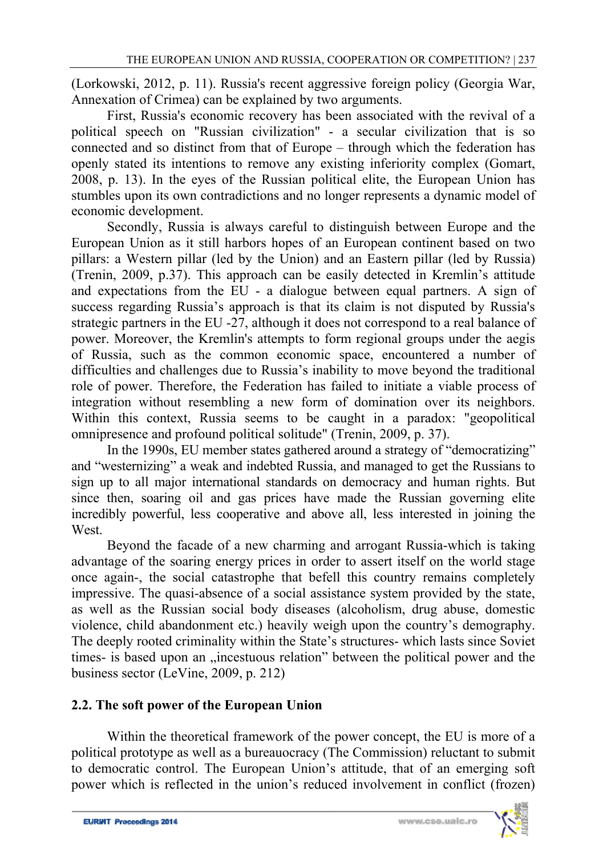(Lorkowski, 2012, p. 11). Russia's recent aggressive foreign policy (Georgia War, Annexation of Crimea) can be explained by two arguments.

First, Russia's economic recovery has been associated with the revival of a political speech on "Russian civilization" - a secular civilization that is so connected and so distinct from that of Europe – through which the federation has openly stated its intentions to remove any existing inferiority complex (Gomart, 2008, p. 13). In the eyes of the Russian political elite, the European Union has stumbles upon its own contradictions and no longer represents a dynamic model of economic development.

Secondly, Russia is always careful to distinguish between Europe and the European Union as it still harbors hopes of an European continent based on two pillars: a Western pillar (led by the Union) and an Eastern pillar (led by Russia) (Trenin, 2009, p.37). This approach can be easily detected in Kremlin's attitude and expectations from the EU - a dialogue between equal partners. A sign of success regarding Russia's approach is that its claim is not disputed by Russia's strategic partners in the EU -27, although it does not correspond to a real balance of power. Moreover, the Kremlin's attempts to form regional groups under the aegis of Russia, such as the common economic space, encountered a number of difficulties and challenges due to Russia's inability to move beyond the traditional role of power. Therefore, the Federation has failed to initiate a viable process of integration without resembling a new form of domination over its neighbors. Within this context. Russia seems to be caught in a paradox: "geopolitical omnipresence and profound political solitude" (Trenin, 2009, p. 37).

In the 1990s, EU member states gathered around a strategy of "democratizing" and "westernizing" a weak and indebted Russia, and managed to get the Russians to sign up to all major international standards on democracy and human rights. But since then, soaring oil and gas prices have made the Russian governing elite incredibly powerful, less cooperative and above all, less interested in joining the West.

Beyond the facade of a new charming and arrogant Russia-which is taking advantage of the soaring energy prices in order to assert itself on the world stage once again-, the social catastrophe that befell this country remains completely impressive. The quasi-absence of a social assistance system provided by the state, as well as the Russian social body diseases (alcoholism, drug abuse, domestic violence, child abandonment etc.) heavily weigh upon the country's demography. The deeply rooted criminality within the State's structures- which lasts since Soviet times- is based upon an "incestuous relation" between the political power and the business sector (LeVine, 2009, p. 212)

# **2.2. The soft power of the European Union**

Within the theoretical framework of the power concept, the EU is more of a political prototype as well as a bureauocracy (The Commission) reluctant to submit to democratic control. The European Union's attitude, that of an emerging soft power which is reflected in the union's reduced involvement in conflict (frozen)

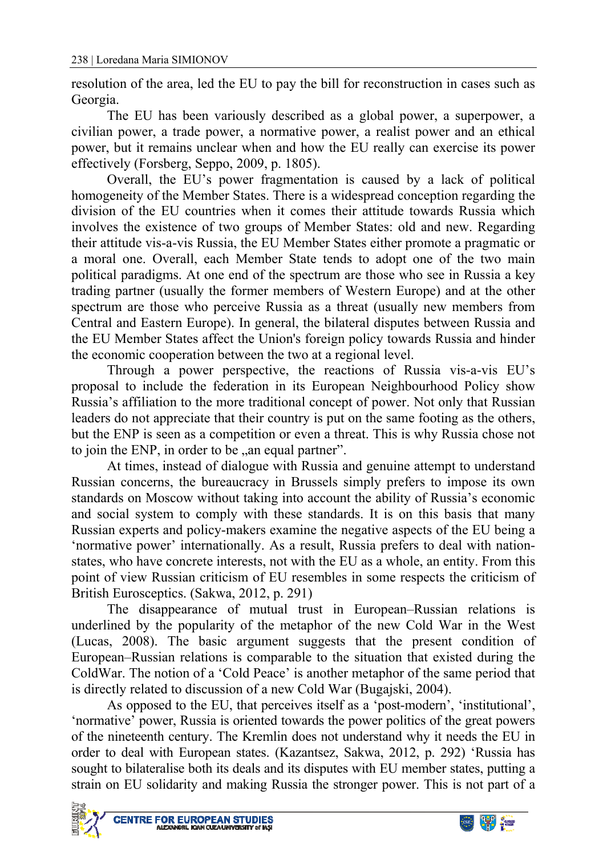resolution of the area, led the EU to pay the bill for reconstruction in cases such as Georgia.

The EU has been variously described as a global power, a superpower, a civilian power, a trade power, a normative power, a realist power and an ethical power, but it remains unclear when and how the EU really can exercise its power effectively (Forsberg, Seppo, 2009, p. 1805).

Overall, the EU's power fragmentation is caused by a lack of political homogeneity of the Member States. There is a widespread conception regarding the division of the EU countries when it comes their attitude towards Russia which involves the existence of two groups of Member States: old and new. Regarding their attitude vis-a-vis Russia, the EU Member States either promote a pragmatic or a moral one. Overall, each Member State tends to adopt one of the two main political paradigms. At one end of the spectrum are those who see in Russia a key trading partner (usually the former members of Western Europe) and at the other spectrum are those who perceive Russia as a threat (usually new members from Central and Eastern Europe). In general, the bilateral disputes between Russia and the EU Member States affect the Union's foreign policy towards Russia and hinder the economic cooperation between the two at a regional level.

Through a power perspective, the reactions of Russia vis-a-vis EU's proposal to include the federation in its European Neighbourhood Policy show Russia's affiliation to the more traditional concept of power. Not only that Russian leaders do not appreciate that their country is put on the same footing as the others, but the ENP is seen as a competition or even a threat. This is why Russia chose not to join the ENP, in order to be , an equal partner".

At times, instead of dialogue with Russia and genuine attempt to understand Russian concerns, the bureaucracy in Brussels simply prefers to impose its own standards on Moscow without taking into account the ability of Russia's economic and social system to comply with these standards. It is on this basis that many Russian experts and policy-makers examine the negative aspects of the EU being a 'normative power' internationally. As a result, Russia prefers to deal with nationstates, who have concrete interests, not with the EU as a whole, an entity. From this point of view Russian criticism of EU resembles in some respects the criticism of British Eurosceptics. (Sakwa, 2012, p. 291)

The disappearance of mutual trust in European–Russian relations is underlined by the popularity of the metaphor of the new Cold War in the West (Lucas, 2008). The basic argument suggests that the present condition of European–Russian relations is comparable to the situation that existed during the ColdWar. The notion of a 'Cold Peace' is another metaphor of the same period that is directly related to discussion of a new Cold War (Bugajski, 2004).

As opposed to the EU, that perceives itself as a 'post-modern', 'institutional', 'normative' power, Russia is oriented towards the power politics of the great powers of the nineteenth century. The Kremlin does not understand why it needs the EU in order to deal with European states. (Kazantsez, Sakwa, 2012, p. 292) 'Russia has sought to bilateralise both its deals and its disputes with EU member states, putting a strain on EU solidarity and making Russia the stronger power. This is not part of a



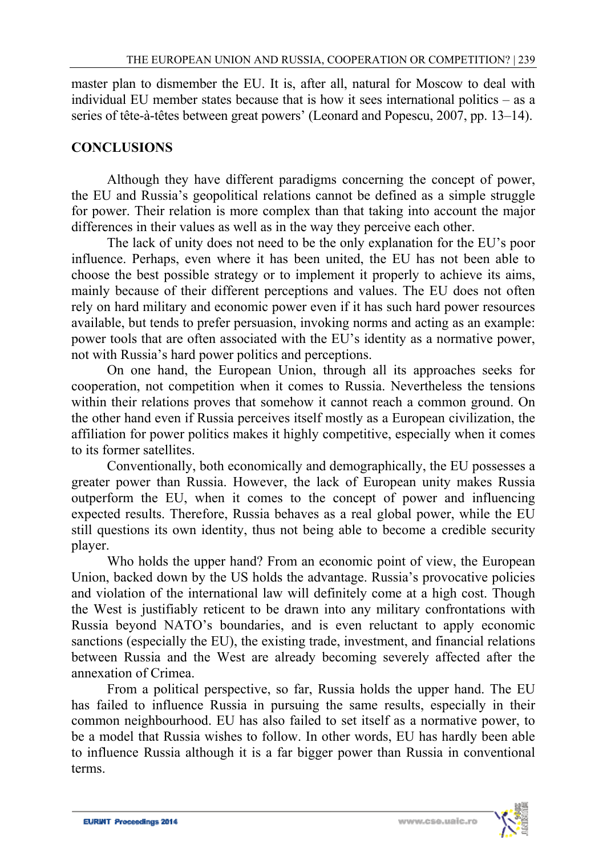master plan to dismember the EU. It is, after all, natural for Moscow to deal with individual EU member states because that is how it sees international politics – as a series of tête-à-têtes between great powers' (Leonard and Popescu, 2007, pp. 13–14).

### **CONCLUSIONS**

Although they have different paradigms concerning the concept of power, the EU and Russia's geopolitical relations cannot be defined as a simple struggle for power. Their relation is more complex than that taking into account the major differences in their values as well as in the way they perceive each other.

The lack of unity does not need to be the only explanation for the EU's poor influence. Perhaps, even where it has been united, the EU has not been able to choose the best possible strategy or to implement it properly to achieve its aims, mainly because of their different perceptions and values. The EU does not often rely on hard military and economic power even if it has such hard power resources available, but tends to prefer persuasion, invoking norms and acting as an example: power tools that are often associated with the EU's identity as a normative power, not with Russia's hard power politics and perceptions.

On one hand, the European Union, through all its approaches seeks for cooperation, not competition when it comes to Russia. Nevertheless the tensions within their relations proves that somehow it cannot reach a common ground. On the other hand even if Russia perceives itself mostly as a European civilization, the affiliation for power politics makes it highly competitive, especially when it comes to its former satellites.

Conventionally, both economically and demographically, the EU possesses a greater power than Russia. However, the lack of European unity makes Russia outperform the EU, when it comes to the concept of power and influencing expected results. Therefore, Russia behaves as a real global power, while the EU still questions its own identity, thus not being able to become a credible security player.

Who holds the upper hand? From an economic point of view, the European Union, backed down by the US holds the advantage. Russia's provocative policies and violation of the international law will definitely come at a high cost. Though the West is justifiably reticent to be drawn into any military confrontations with Russia beyond NATO's boundaries, and is even reluctant to apply economic sanctions (especially the EU), the existing trade, investment, and financial relations between Russia and the West are already becoming severely affected after the annexation of Crimea.

From a political perspective, so far, Russia holds the upper hand. The EU has failed to influence Russia in pursuing the same results, especially in their common neighbourhood. EU has also failed to set itself as a normative power, to be a model that Russia wishes to follow. In other words, EU has hardly been able to influence Russia although it is a far bigger power than Russia in conventional terms.

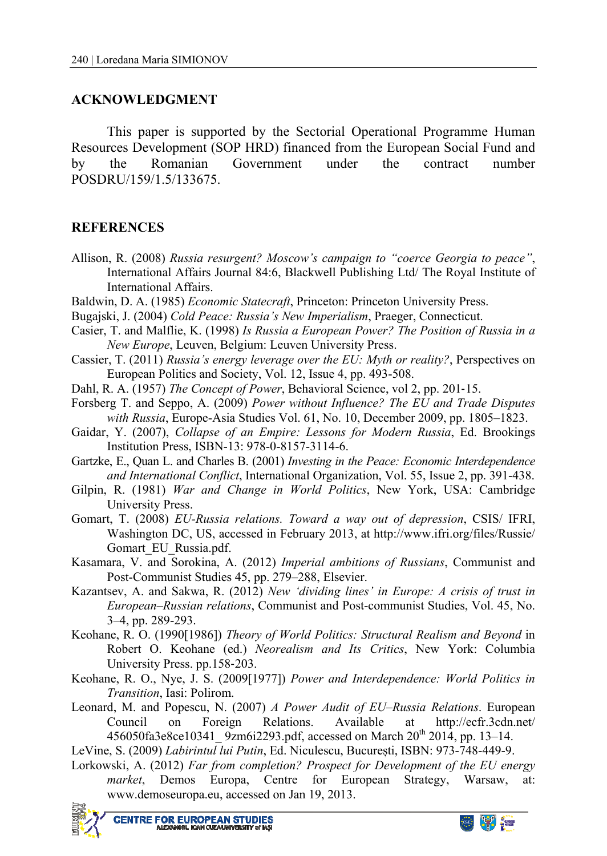### **ACKNOWLEDGMENT**

This paper is supported by the Sectorial Operational Programme Human Resources Development (SOP HRD) financed from the European Social Fund and by the Romanian Government under the contract number POSDRU/159/1.5/133675.

#### **REFERENCES**

- Allison, R. (2008) *Russia resurgent? Moscow's campaign to "coerce Georgia to peace"*, International Affairs Journal 84:6, Blackwell Publishing Ltd/ The Royal Institute of International Affairs.
- Baldwin, D. A. (1985) *Economic Statecraft*, Princeton: Princeton University Press.
- Bugajski, J. (2004) *Cold Peace: Russia's New Imperialism*, Praeger, Connecticut.
- Casier, T. and Malflie, K. (1998) *Is Russia a European Power? The Position of Russia in a New Europe*, Leuven, Belgium: Leuven University Press.
- Cassier, T. (2011) *Russia's energy leverage over the EU: Myth or reality?*, Perspectives on European Politics and Society, Vol. 12, Issue 4, pp. 493-508.
- Dahl, R. A. (1957) *The Concept of Power*, Behavioral Science, vol 2, pp. 201‐15.
- Forsberg T. and Seppo, A. (2009) *Power without Influence? The EU and Trade Disputes with Russia*, Europe-Asia Studies Vol. 61, No. 10, December 2009, pp. 1805–1823.
- Gaidar, Y. (2007), *Collapse of an Empire: Lessons for Modern Russia*, Ed. Brookings Institution Press, ISBN-13: 978-0-8157-3114-6.
- Gartzke, E., Quan L. and Charles B. (2001) *Investing in the Peace: Economic Interdependence and International Conflict*, International Organization, Vol. 55, Issue 2, pp. 391-438.
- Gilpin, R. (1981) *War and Change in World Politics*, New York, USA: Cambridge University Press.
- Gomart, T. (2008) *EU-Russia relations. Toward a way out of depression*, CSIS/ IFRI, Washington DC, US, accessed in February 2013, at http://www.ifri.org/files/Russie/ Gomart EU Russia.pdf.
- Kasamara, V. and Sorokina, A. (2012) *Imperial ambitions of Russians*, Communist and Post-Communist Studies 45, pp. 279–288, Elsevier.
- Kazantsev, A. and Sakwa, R. (2012) *New 'dividing lines' in Europe: A crisis of trust in European–Russian relations*, Communist and Post-communist Studies, Vol. 45, No. 3–4, pp. 289-293.
- Keohane, R. O. (1990[1986]) *Theory of World Politics: Structural Realism and Beyond* in Robert O. Keohane (ed.) *Neorealism and Its Critics*, New York: Columbia University Press. pp.158‐203.
- Keohane, R. O., Nye, J. S. (2009[1977]) *Power and Interdependence: World Politics in Transition*, Iasi: Polirom.
- Leonard, M. and Popescu, N. (2007) *A Power Audit of EU–Russia Relations*. European Council on Foreign Relations. Available at http://ecfr.3cdn.net/ 456050fa3e8ce10341\_ 9zm6i2293.pdf, accessed on March 20th 2014, pp. 13–14.
- LeVine, S. (2009) *Labirintul lui Putin*, Ed. Niculescu, București, ISBN: 973-748-449-9.
- Lorkowski, A. (2012) *Far from completion? Prospect for Development of the EU energy market*, Demos Europa, Centre for European Strategy, Warsaw, at: www.demoseuropa.eu, accessed on Jan 19, 2013.